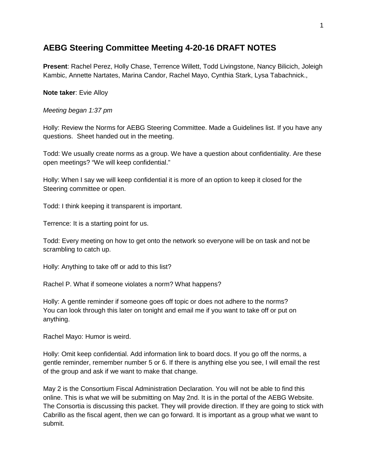## **AEBG Steering Committee Meeting 4-20-16 DRAFT NOTES**

**Present**: Rachel Perez, Holly Chase, Terrence Willett, Todd Livingstone, Nancy Bilicich, Joleigh Kambic, Annette Nartates, Marina Candor, Rachel Mayo, Cynthia Stark, Lysa Tabachnick.,

**Note taker**: Evie Alloy

*Meeting began 1:37 pm*

Holly: Review the Norms for AEBG Steering Committee. Made a Guidelines list. If you have any questions. Sheet handed out in the meeting.

Todd: We usually create norms as a group. We have a question about confidentiality. Are these open meetings? "We will keep confidential."

Holly: When I say we will keep confidential it is more of an option to keep it closed for the Steering committee or open.

Todd: I think keeping it transparent is important.

Terrence: It is a starting point for us.

Todd: Every meeting on how to get onto the network so everyone will be on task and not be scrambling to catch up.

Holly: Anything to take off or add to this list?

Rachel P. What if someone violates a norm? What happens?

Holly: A gentle reminder if someone goes off topic or does not adhere to the norms? You can look through this later on tonight and email me if you want to take off or put on anything.

Rachel Mayo: Humor is weird.

Holly: Omit keep confidential. Add information link to board docs. If you go off the norms, a gentle reminder, remember number 5 or 6. If there is anything else you see, I will email the rest of the group and ask if we want to make that change.

May 2 is the Consortium Fiscal Administration Declaration. You will not be able to find this online. This is what we will be submitting on May 2nd. It is in the portal of the AEBG Website. The Consortia is discussing this packet. They will provide direction. If they are going to stick with Cabrillo as the fiscal agent, then we can go forward. It is important as a group what we want to submit.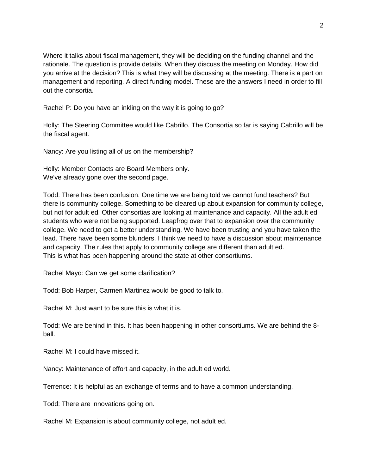Where it talks about fiscal management, they will be deciding on the funding channel and the rationale. The question is provide details. When they discuss the meeting on Monday. How did you arrive at the decision? This is what they will be discussing at the meeting. There is a part on management and reporting. A direct funding model. These are the answers I need in order to fill out the consortia.

Rachel P: Do you have an inkling on the way it is going to go?

Holly: The Steering Committee would like Cabrillo. The Consortia so far is saying Cabrillo will be the fiscal agent.

Nancy: Are you listing all of us on the membership?

Holly: Member Contacts are Board Members only. We've already gone over the second page.

Todd: There has been confusion. One time we are being told we cannot fund teachers? But there is community college. Something to be cleared up about expansion for community college, but not for adult ed. Other consortias are looking at maintenance and capacity. All the adult ed students who were not being supported. Leapfrog over that to expansion over the community college. We need to get a better understanding. We have been trusting and you have taken the lead. There have been some blunders. I think we need to have a discussion about maintenance and capacity. The rules that apply to community college are different than adult ed. This is what has been happening around the state at other consortiums.

Rachel Mayo: Can we get some clarification?

Todd: Bob Harper, Carmen Martinez would be good to talk to.

Rachel M: Just want to be sure this is what it is.

Todd: We are behind in this. It has been happening in other consortiums. We are behind the 8 ball.

Rachel M: I could have missed it.

Nancy: Maintenance of effort and capacity, in the adult ed world.

Terrence: It is helpful as an exchange of terms and to have a common understanding.

Todd: There are innovations going on.

Rachel M: Expansion is about community college, not adult ed.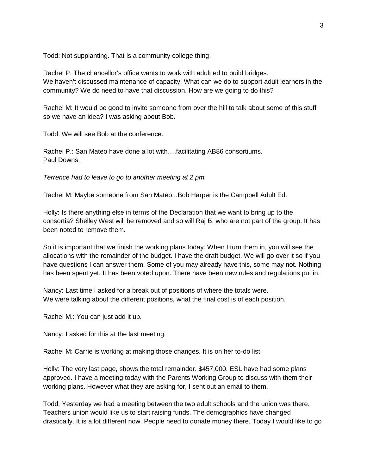Todd: Not supplanting. That is a community college thing.

Rachel P: The chancellor's office wants to work with adult ed to build bridges. We haven't discussed maintenance of capacity. What can we do to support adult learners in the community? We do need to have that discussion. How are we going to do this?

Rachel M: It would be good to invite someone from over the hill to talk about some of this stuff so we have an idea? I was asking about Bob.

Todd: We will see Bob at the conference.

Rachel P.: San Mateo have done a lot with….facilitating AB86 consortiums. Paul Downs.

*Terrence had to leave to go to another meeting at 2 pm.*

Rachel M: Maybe someone from San Mateo...Bob Harper is the Campbell Adult Ed.

Holly: Is there anything else in terms of the Declaration that we want to bring up to the consortia? Shelley West will be removed and so will Raj B. who are not part of the group. It has been noted to remove them.

So it is important that we finish the working plans today. When I turn them in, you will see the allocations with the remainder of the budget. I have the draft budget. We will go over it so if you have questions I can answer them. Some of you may already have this, some may not. Nothing has been spent yet. It has been voted upon. There have been new rules and regulations put in.

Nancy: Last time I asked for a break out of positions of where the totals were. We were talking about the different positions, what the final cost is of each position.

Rachel M.: You can just add it up.

Nancy: I asked for this at the last meeting.

Rachel M: Carrie is working at making those changes. It is on her to-do list.

Holly: The very last page, shows the total remainder. \$457,000. ESL have had some plans approved. I have a meeting today with the Parents Working Group to discuss with them their working plans. However what they are asking for, I sent out an email to them.

Todd: Yesterday we had a meeting between the two adult schools and the union was there. Teachers union would like us to start raising funds. The demographics have changed drastically. It is a lot different now. People need to donate money there. Today I would like to go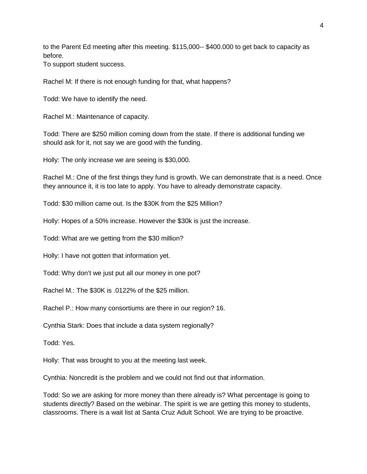to the Parent Ed meeting after this meeting. \$115,000-- \$400.000 to get back to capacity as before.

To support student success.

Rachel M: If there is not enough funding for that, what happens?

Todd: We have to identify the need.

Rachel M.: Maintenance of capacity.

Todd: There are \$250 million coming down from the state. If there is additional funding we should ask for it, not say we are good with the funding.

Holly: The only increase we are seeing is \$30,000.

Rachel M.: One of the first things they fund is growth. We can demonstrate that is a need. Once they announce it, it is too late to apply. You have to already demonstrate capacity.

Todd: \$30 million came out. Is the \$30K from the \$25 Million?

Holly: Hopes of a 50% increase. However the \$30k is just the increase.

Todd: What are we getting from the \$30 million?

Holly: I have not gotten that information yet.

Todd: Why don't we just put all our money in one pot?

Rachel M.: The \$30K is .0122% of the \$25 million.

Rachel P.: How many consortiums are there in our region? 16.

Cynthia Stark: Does that include a data system regionally?

Todd: Yes.

Holly: That was brought to you at the meeting last week.

Cynthia: Noncredit is the problem and we could not find out that information.

Todd: So we are asking for more money than there already is? What percentage is going to students directly? Based on the webinar. The spirit is we are getting this money to students, classrooms. There is a wait list at Santa Cruz Adult School. We are trying to be proactive.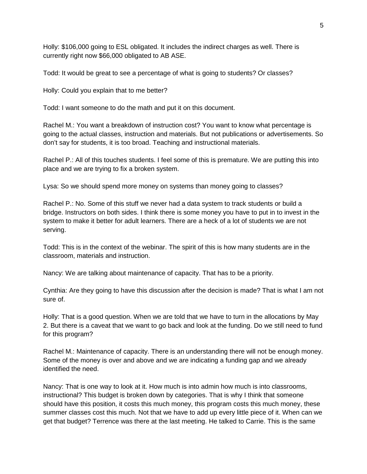Holly: \$106,000 going to ESL obligated. It includes the indirect charges as well. There is currently right now \$66,000 obligated to AB ASE.

Todd: It would be great to see a percentage of what is going to students? Or classes?

Holly: Could you explain that to me better?

Todd: I want someone to do the math and put it on this document.

Rachel M.: You want a breakdown of instruction cost? You want to know what percentage is going to the actual classes, instruction and materials. But not publications or advertisements. So don't say for students, it is too broad. Teaching and instructional materials.

Rachel P.: All of this touches students. I feel some of this is premature. We are putting this into place and we are trying to fix a broken system.

Lysa: So we should spend more money on systems than money going to classes?

Rachel P.: No. Some of this stuff we never had a data system to track students or build a bridge. Instructors on both sides. I think there is some money you have to put in to invest in the system to make it better for adult learners. There are a heck of a lot of students we are not serving.

Todd: This is in the context of the webinar. The spirit of this is how many students are in the classroom, materials and instruction.

Nancy: We are talking about maintenance of capacity. That has to be a priority.

Cynthia: Are they going to have this discussion after the decision is made? That is what I am not sure of.

Holly: That is a good question. When we are told that we have to turn in the allocations by May 2. But there is a caveat that we want to go back and look at the funding. Do we still need to fund for this program?

Rachel M.: Maintenance of capacity. There is an understanding there will not be enough money. Some of the money is over and above and we are indicating a funding gap and we already identified the need.

Nancy: That is one way to look at it. How much is into admin how much is into classrooms, instructional? This budget is broken down by categories. That is why I think that someone should have this position, it costs this much money, this program costs this much money, these summer classes cost this much. Not that we have to add up every little piece of it. When can we get that budget? Terrence was there at the last meeting. He talked to Carrie. This is the same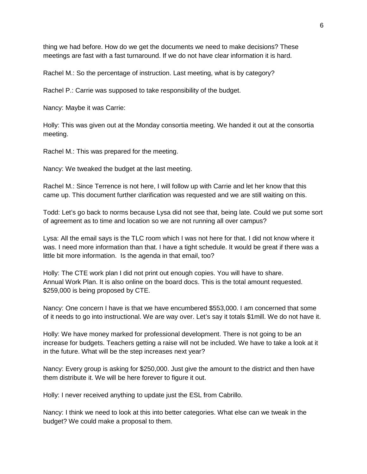thing we had before. How do we get the documents we need to make decisions? These meetings are fast with a fast turnaround. If we do not have clear information it is hard.

Rachel M.: So the percentage of instruction. Last meeting, what is by category?

Rachel P.: Carrie was supposed to take responsibility of the budget.

Nancy: Maybe it was Carrie:

Holly: This was given out at the Monday consortia meeting. We handed it out at the consortia meeting.

Rachel M.: This was prepared for the meeting.

Nancy: We tweaked the budget at the last meeting.

Rachel M.: Since Terrence is not here, I will follow up with Carrie and let her know that this came up. This document further clarification was requested and we are still waiting on this.

Todd: Let's go back to norms because Lysa did not see that, being late. Could we put some sort of agreement as to time and location so we are not running all over campus?

Lysa: All the email says is the TLC room which I was not here for that. I did not know where it was. I need more information than that. I have a tight schedule. It would be great if there was a little bit more information. Is the agenda in that email, too?

Holly: The CTE work plan I did not print out enough copies. You will have to share. Annual Work Plan. It is also online on the board docs. This is the total amount requested. \$259,000 is being proposed by CTE.

Nancy: One concern I have is that we have encumbered \$553,000. I am concerned that some of it needs to go into instructional. We are way over. Let's say it totals \$1mill. We do not have it.

Holly: We have money marked for professional development. There is not going to be an increase for budgets. Teachers getting a raise will not be included. We have to take a look at it in the future. What will be the step increases next year?

Nancy: Every group is asking for \$250,000. Just give the amount to the district and then have them distribute it. We will be here forever to figure it out.

Holly: I never received anything to update just the ESL from Cabrillo.

Nancy: I think we need to look at this into better categories. What else can we tweak in the budget? We could make a proposal to them.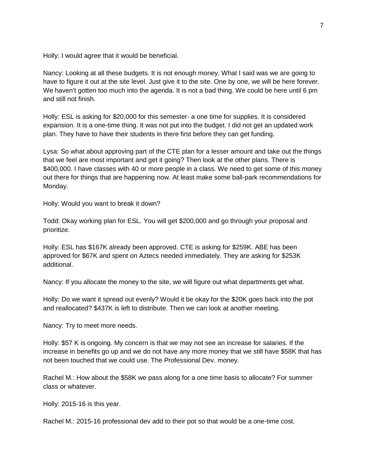Holly: I would agree that it would be beneficial.

Nancy: Looking at all these budgets. It is not enough money. What I said was we are going to have to figure it out at the site level. Just give it to the site. One by one, we will be here forever. We haven't gotten too much into the agenda. It is not a bad thing. We could be here until 6 pm and still not finish.

Holly: ESL is asking for \$20,000 for this semester- a one time for supplies. It is considered expansion. It is a one-time thing. It was not put into the budget. I did not get an updated work plan. They have to have their students in there first before they can get funding.

Lysa: So what about approving part of the CTE plan for a lesser amount and take out the things that we feel are most important and get it going? Then look at the other plans. There is \$400,000. I have classes with 40 or more people in a class. We need to get some of this money out there for things that are happening now. At least make some ball-park recommendations for Monday.

Holly: Would you want to break it down?

Todd: Okay working plan for ESL. You will get \$200,000 and go through your proposal and prioritize.

Holly: ESL has \$167K already been approved. CTE is asking for \$259K. ABE has been approved for \$67K and spent on Aztecs needed immediately. They are asking for \$253K additional.

Nancy: If you allocate the money to the site, we will figure out what departments get what.

Holly: Do we want it spread out evenly? Would it be okay for the \$20K goes back into the pot and reallocated? \$437K is left to distribute. Then we can look at another meeting.

Nancy: Try to meet more needs.

Holly: \$57 K is ongoing. My concern is that we may not see an increase for salaries. If the increase in benefits go up and we do not have any more money that we still have \$58K that has not been touched that we could use. The Professional Dev. money.

Rachel M.: How about the \$58K we pass along for a one time basis to allocate? For summer class or whatever.

Holly: 2015-16 is this year.

Rachel M.: 2015-16 professional dev add to their pot so that would be a one-time cost.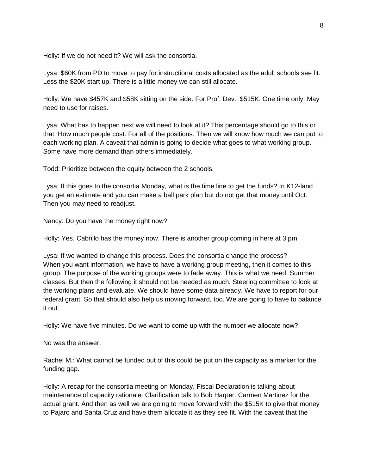Holly: If we do not need it? We will ask the consortia.

Lysa: \$60K from PD to move to pay for instructional costs allocated as the adult schools see fit. Less the \$20K start up. There is a little money we can still allocate.

Holly: We have \$457K and \$58K sitting on the side. For Prof. Dev. \$515K. One time only. May need to use for raises.

Lysa: What has to happen next we will need to look at it? This percentage should go to this or that. How much people cost. For all of the positions. Then we will know how much we can put to each working plan. A caveat that admin is going to decide what goes to what working group. Some have more demand than others immediately.

Todd: Prioritize between the equity between the 2 schools.

Lysa: If this goes to the consortia Monday, what is the time line to get the funds? In K12-land you get an estimate and you can make a ball park plan but do not get that money until Oct. Then you may need to readjust.

Nancy: Do you have the money right now?

Holly: Yes. Cabrillo has the money now. There is another group coming in here at 3 pm.

Lysa: If we wanted to change this process. Does the consortia change the process? When you want information, we have to have a working group meeting, then it comes to this group. The purpose of the working groups were to fade away. This is what we need. Summer classes. But then the following it should not be needed as much. Steering committee to look at the working plans and evaluate. We should have some data already. We have to report for our federal grant. So that should also help us moving forward, too. We are going to have to balance it out.

Holly: We have five minutes. Do we want to come up with the number we allocate now?

No was the answer.

Rachel M.: What cannot be funded out of this could be put on the capacity as a marker for the funding gap.

Holly: A recap for the consortia meeting on Monday. Fiscal Declaration is talking about maintenance of capacity rationale. Clarification talk to Bob Harper. Carmen Martinez for the actual grant. And then as well we are going to move forward with the \$515K to give that money to Pajaro and Santa Cruz and have them allocate it as they see fit. With the caveat that the